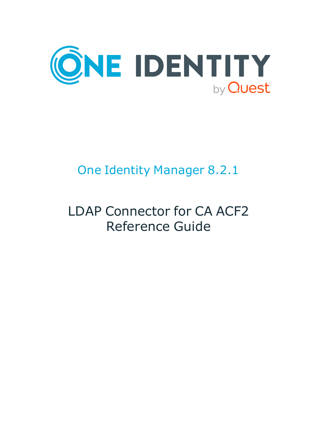

# One Identity Manager 8.2.1

# LDAP Connector for CA ACF2 Reference Guide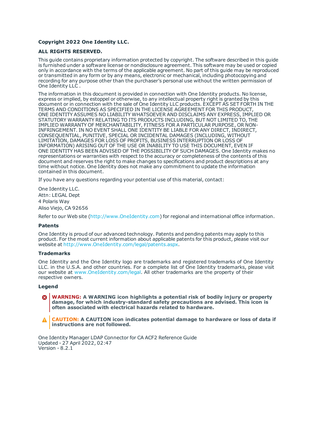#### **Copyright 2022 One Identity LLC.**

#### **ALL RIGHTS RESERVED.**

This guide contains proprietary information protected by copyright. The software described in this guide is furnished under a software license or nondisclosure agreement. This software may be used or copied only in accordance with the terms of the applicable agreement. No part of this guide may be reproduced or transmitted in any form or by any means, electronic or mechanical, including photocopying and recording for any purpose other than the purchaser's personal use without the written permission of One Identity LLC .

The information in this document is provided in connection with One Identity products. No license, express or implied, by estoppel or otherwise, to any intellectual property right is granted by this document or in connection with the sale of One Identity LLC products. EXCEPT AS SET FORTH IN THE TERMS AND CONDITIONS AS SPECIFIED IN THE LICENSE AGREEMENT FOR THIS PRODUCT, ONE IDENTITY ASSUMES NO LIABILITY WHATSOEVER AND DISCLAIMS ANY EXPRESS, IMPLIED OR STATUTORY WARRANTY RELATING TO ITS PRODUCTS INCLUDING, BUT NOT LIMITED TO, THE IMPLIED WARRANTY OF MERCHANTABILITY, FITNESS FOR A PARTICULAR PURPOSE, OR NON-INFRINGEMENT. IN NO EVENT SHALL ONE IDENTITY BE LIABLE FOR ANY DIRECT, INDIRECT, CONSEQUENTIAL, PUNITIVE, SPECIAL OR INCIDENTAL DAMAGES (INCLUDING, WITHOUT LIMITATION, DAMAGES FOR LOSS OF PROFITS, BUSINESS INTERRUPTION OR LOSS OF INFORMATION) ARISING OUT OF THE USE OR INABILITY TO USE THIS DOCUMENT, EVEN IF ONE IDENTITY HAS BEEN ADVISED OF THE POSSIBILITY OF SUCH DAMAGES. One Identity makes no representations or warranties with respect to the accuracy or completeness of the contents of this document and reserves the right to make changes to specifications and product descriptions at any time without notice. One Identity does not make any commitment to update the information contained in this document.

If you have any questions regarding your potential use of this material, contact:

One Identity LLC. Attn: LEGAL Dept 4 Polaris Way Aliso Viejo, CA 92656

Refer to our Web site ([http://www.OneIdentity.com](http://www.oneidentity.com/)) for regional and international office information.

#### **Patents**

One Identity is proud of our advanced technology. Patents and pending patents may apply to this product. For the most current information about applicable patents for this product, please visit our website at [http://www.OneIdentity.com/legal/patents.aspx](http://www.oneidentity.com/legal/patents.aspx).

#### **Trademarks**

One Identity and the One Identity logo are trademarks and registered trademarks of One Identity LLC. in the U.S.A. and other countries. For a complete list of One Identity trademarks, please visit our website at [www.OneIdentity.com/legal](http://www.oneidentity.com/legal). All other trademarks are the property of their respective owners.

#### **Legend**

**WARNING: A WARNING icon highlights a potential risk of bodily injury or property damage, for which industry-standard safety precautions are advised. This icon is often associated with electrical hazards related to hardware.**

**CAUTION: A CAUTION icon indicates potential damage to hardware or loss of data if** A **instructions are not followed.**

One Identity Manager LDAP Connector for CA ACF2 Reference Guide Updated - 27 April 2022, 02:47 Version - 8.2.1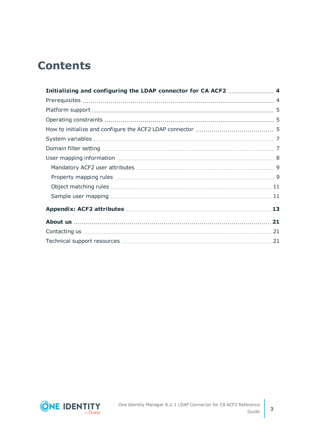## **Contents**

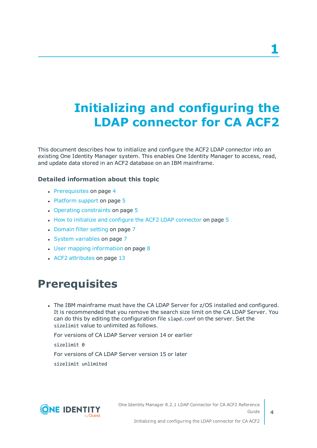# <span id="page-3-0"></span>**Initializing and configuring the LDAP connector for CA ACF2**

This document describes how to initialize and configure the ACF2 LDAP connector into an existing One Identity Manager system. This enables One Identity Manager to access, read, and update data stored in an ACF2 database on an IBM mainframe.

### **Detailed information about this topic**

- [Prerequisites](#page-3-1) on page 4
- $\cdot$  [Platform](#page-4-0) support on page 5
- Operating [constraints](#page-4-1) on page 5
- $\cdot$  How to initialize and configure the ACF2 LDAP [connector](#page-4-2) on page 5
- [Domain](#page-6-1) filter setting on page 7
- System [variables](#page-6-0) on page 7
- $\cdot$  User mapping [information](#page-7-0) on page 8
- <span id="page-3-1"></span>• ACF2 [attributes](#page-12-0) on page 13

### **Prerequisites**

• The IBM mainframe must have the CA LDAP Server for z/OS installed and configured. It is recommended that you remove the search size limit on the CA LDAP Server. You can do this by editing the configuration file slapd.conf on the server. Set the sizelimit value to unlimited as follows.

For versions of CA LDAP Server version 14 or earlier

sizelimit 0

For versions of CA LDAP Server version 15 or later

sizelimit unlimited



One Identity Manager 8.2.1 LDAP Connector for CA ACF2 Reference Guide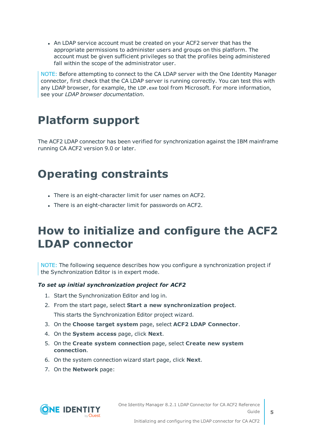• An LDAP service account must be created on your ACF2 server that has the appropriate permissions to administer users and groups on this platform. The account must be given sufficient privileges so that the profiles being administered fall within the scope of the administrator user.

NOTE: Before attempting to connect to the CA LDAP server with the One Identity Manager connector, first check that the CA LDAP server is running correctly. You can test this with any LDAP browser, for example, the LDP.exe tool from Microsoft. For more information, see your *LDAP browser documentation*.

## <span id="page-4-0"></span>**Platform support**

The ACF2 LDAP connector has been verified for synchronization against the IBM mainframe running CA ACF2 version 9.0 or later.

## <span id="page-4-1"></span>**Operating constraints**

- There is an eight-character limit for user names on ACF2.
- There is an eight-character limit for passwords on ACF2.

## <span id="page-4-2"></span>**How to initialize and configure the ACF2 LDAP connector**

NOTE: The following sequence describes how you configure a synchronization project if the Synchronization Editor is in expert mode.

#### *To set up initial synchronization project for ACF2*

- 1. Start the Synchronization Editor and log in.
- 2. From the start page, select **Start a new synchronization project**. This starts the Synchronization Editor project wizard.
- 3. On the **Choose target system** page, select **ACF2 LDAP Connector**.
- 4. On the **System access** page, click **Next**.
- 5. On the **Create system connection** page, select **Create new system connection**.
- 6. On the system connection wizard start page, click **Next**.
- 7. On the **Network** page:



One Identity Manager 8.2.1 LDAP Connector for CA ACF2 Reference Guide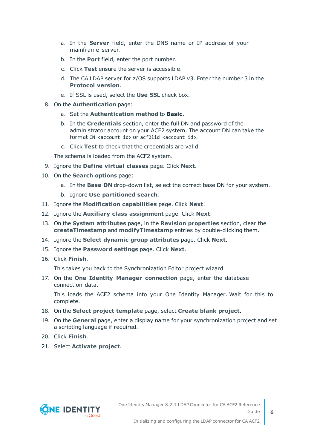- a. In the **Server** field, enter the DNS name or IP address of your mainframe server.
- b. In the **Port** field, enter the port number.
- c. Click **Test** ensure the server is accessible.
- d. The CA LDAP server for z/OS supports LDAP v3. Enter the number 3 in the **Protocol version**.
- e. If SSL is used, select the **Use SSL** check box.
- 8. On the **Authentication** page:
	- a. Set the **Authentication method** to **Basic**.
	- b. In the **Credentials** section, enter the full DN and password of the administrator account on your ACF2 system. The account DN can take the format CN=<account id> or acf2lid=<account id>.
	- c. Click **Test** to check that the credentials are valid.

The schema is loaded from the ACF2 system.

- 9. Ignore the **Define virtual classes** page. Click **Next**.
- 10. On the **Search options** page:
	- a. In the **Base DN** drop-down list, select the correct base DN for your system.
	- b. Ignore **Use partitioned search**.
- 11. Ignore the **Modification capabilities** page. Click **Next**.
- 12. Ignore the **Auxiliary class assignment** page. Click **Next**.
- 13. On the **System attributes** page, in the **Revision properties** section, clear the **createTimestamp** and **modifyTimestamp** entries by double-clicking them.
- 14. Ignore the **Select dynamic group attributes** page. Click **Next**.
- 15. Ignore the **Password settings** page. Click **Next**.
- 16. Click **Finish**.

This takes you back to the Synchronization Editor project wizard.

17. On the **One Identity Manager connection** page, enter the database connection data.

This loads the ACF2 schema into your One Identity Manager. Wait for this to complete.

- 18. On the **Select project template** page, select **Create blank project**.
- 19. On the **General** page, enter a display name for your synchronization project and set a scripting language if required.
- 20. Click **Finish**.
- 21. Select **Activate project**.

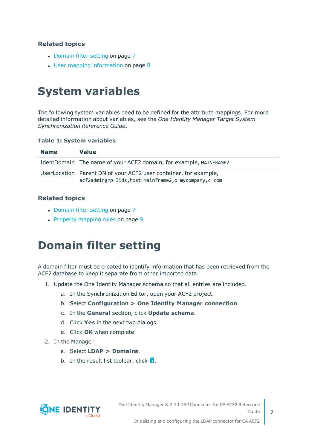### **Related topics**

- [Domain](#page-6-1) filter setting on page 7
- User mapping [information](#page-7-0) on page 8

## <span id="page-6-0"></span>**System variables**

The following system variables need to be defined for the attribute mappings. For more detailed information about variables, see the *One Identity Manager Target System Synchronization Reference Guide*.

#### **Table 1: System variables**

| <b>Name</b> | Value                                                                                                                      |
|-------------|----------------------------------------------------------------------------------------------------------------------------|
|             | IdentDomain The name of your ACF2 domain, for example, MAINFRAME2                                                          |
|             | UserLocation Parent DN of your ACF2 user container, for example,<br>acf2admingrp=lids, host=mainframe2, o=mycompany, c=com |

### **Related topics**

- [Domain](#page-6-1) filter setting on page 7
- <span id="page-6-1"></span>• Property [mapping](#page-8-1) rules on page 9

### **Domain filter setting**

A domain filter must be created to identify information that has been retrieved from the ACF2 database to keep it separate from other imported data.

- 1. Update the One Identity Manager schema so that all entries are included.
	- a. In the Synchronization Editor, open your ACF2 project.
	- b. Select **Configuration > One Identity Manager connection**.
	- c. In the **General** section, click **Update schema**.
	- d. Click **Yes** in the next two dialogs.
	- e. Click **OK** when complete.
- 2. In the Manager
	- a. Select **LDAP > Domains**.
	- b. In the result list toolbar, click  $\mathbf{I}$ .

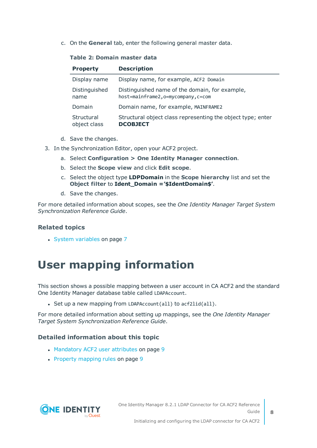c. On the **General** tab, enter the following general master data.

#### **Table 2: Domain master data**

| <b>Property</b>            | <b>Description</b>                                                                  |
|----------------------------|-------------------------------------------------------------------------------------|
| Display name               | Display name, for example, ACF2 Domain                                              |
| Distinguished<br>name      | Distinguished name of the domain, for example,<br>host=mainframe2,o=mycompany,c=com |
| Domain                     | Domain name, for example, MAINFRAME2                                                |
| Structural<br>object class | Structural object class representing the object type; enter<br><b>DCOBJECT</b>      |

- d. Save the changes.
- 3. In the Synchronization Editor, open your ACF2 project.
	- a. Select **Configuration > One Identity Manager connection**.
	- b. Select the **Scope view** and click **Edit scope**.
	- c. Select the object type **LDPDomain** in the **Scope hierarchy** list and set the **Object filter** to **Ident\_Domain ='\$IdentDomain\$'**.
	- d. Save the changes.

For more detailed information about scopes, see the *One Identity Manager Target System Synchronization Reference Guide*.

### **Related topics**

<span id="page-7-0"></span>• System [variables](#page-6-0) on page 7

### **User mapping information**

This section shows a possible mapping between a user account in CA ACF2 and the standard One Identity Manager database table called LDAPAccount.

- Set up a new mapping from LDAPAccount(all) to  $\arctan(1)$ .

For more detailed information about setting up mappings, see the *One Identity Manager Target System Synchronization Reference Guide*.

### **Detailed information about this topic**

- [Mandatory](#page-8-0) ACF2 user attributes on page 9
- $\cdot$  Property [mapping](#page-8-1) rules on page 9



One Identity Manager 8.2.1 LDAP Connector for CA ACF2 Reference Guide

Initializing and configuring the LDAP connector for CA ACF2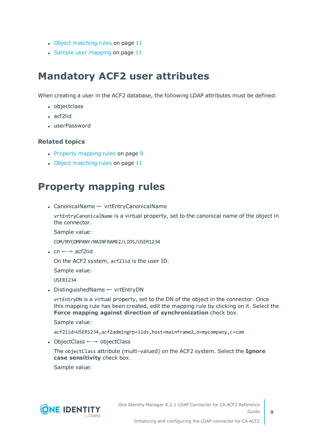- Object [matching](#page-10-0) rules on page 11
- Sample user [mapping](#page-10-1) on page 11

### <span id="page-8-0"></span>**Mandatory ACF2 user attributes**

When creating a user in the ACF2 database, the following LDAP attributes must be defined:

- objectclass
- $\bullet$  acf2lid
- userPassword

### **Related topics**

- Property [mapping](#page-8-1) rules on page 9
- Object [matching](#page-10-0) rules on page 11

### <span id="page-8-1"></span>**Property mapping rules**

• CanonicalName ← vrtEntryCanonicalName

vrtEntryCanonicalName is a virtual property, set to the canonical name of the object in the connector.

Sample value:

COM/MYCOMPANY/MAINFRAME2/LIDS/USER1234

• cn  $\leftarrow \rightarrow$  acf2lid

On the ACF2 system, acf2lid is the user ID.

Sample value:

USER1234

• DistinguishedName ← vrtEntryDN

vrtEntryDN is a virtual property, set to the DN of the object in the connector. Once this mapping rule has been created, edit the mapping rule by clicking on it. Select the **Force mapping against direction of synchronization** check box.

Sample value:

acf2lid=USER1234,acf2admingrp=lids,host=mainframe2,o=mycompany,c=com

• ObjectClass  $\leftarrow$  → objectClass

The objectClass attribute (multi-valued) on the ACF2 system. Select the **Ignore case sensitivity** check box.

Sample value:

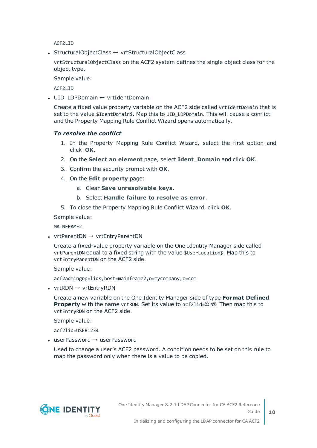ACF2LID

• StructuralObjectClass ← vrtStructuralObjectClass

vrtStructuralObjectClass on the ACF2 system defines the single object class for the object type.

Sample value:

ACF2LID

• UID LDPDomain ← vrtIdentDomain

Create a fixed value property variable on the ACF2 side called vrtIdentDomain that is set to the value \$IdentDomain\$. Map this to UID LDPDomain. This will cause a conflict and the Property Mapping Rule Conflict Wizard opens automatically.

#### *To resolve the conflict*

- 1. In the Property Mapping Rule Conflict Wizard, select the first option and click **OK**.
- 2. On the **Select an element** page, select **Ident\_Domain** and click **OK**.
- 3. Confirm the security prompt with **OK**.
- 4. On the **Edit property** page:
	- a. Clear **Save unresolvable keys**.
	- b. Select **Handle failure to resolve as error**.
- 5. To close the Property Mapping Rule Conflict Wizard, click **OK**.

Sample value:

MAINFRAME2

• vrtParentDN  $\rightarrow$  vrtEntryParentDN

Create a fixed-value property variable on the One Identity Manager side called vrtParentDN equal to a fixed string with the value \$UserLocation\$. Map this to vrtEntryParentDN on the ACF2 side.

Sample value:

acf2admingrp=lids,host=mainframe2,o=mycompany,c=com

• vrtRDN  $\rightarrow$  vrtEntryRDN

Create a new variable on the One Identity Manager side of type **Format Defined Property** with the name vrtRDN. Set its value to acf21id=%CN%. Then map this to vrtEntryRDN on the ACF2 side.

Sample value:

acf2lid=USER1234

 $\bullet$  userPassword  $\rightarrow$  userPassword

Used to change a user's ACF2 password. A condition needs to be set on this rule to map the password only when there is a value to be copied.

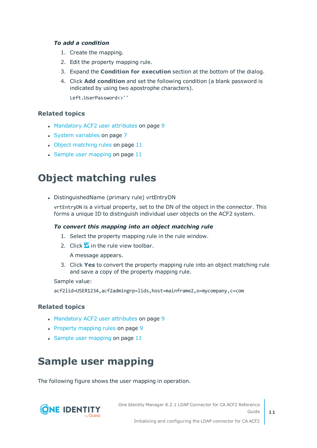#### *To add a condition*

- 1. Create the mapping.
- 2. Edit the property mapping rule.
- 3. Expand the **Condition for execution** section at the bottom of the dialog.
- 4. Click **Add condition** and set the following condition (a blank password is indicated by using two apostrophe characters).

Left.UserPassword<>''

### **Related topics**

- [Mandatory](#page-8-0) ACF2 user attributes on page 9
- System [variables](#page-6-0) on page 7
- Object [matching](#page-10-0) rules on page 11
- $\cdot$  Sample user [mapping](#page-10-1) on page 11

### <span id="page-10-0"></span>**Object matching rules**

• DistinguishedName (primary rule) vrtEntryDN

vrtEntryDN is a virtual property, set to the DN of the object in the connector. This forms a unique ID to distinguish individual user objects on the ACF2 system.

#### *To convert this mapping into an object matching rule*

- 1. Select the property mapping rule in the rule window.
- 2. Click  $\bullet$  in the rule view toolbar.

A message appears.

3. Click **Yes** to convert the property mapping rule into an object matching rule and save a copy of the property mapping rule.

Sample value:

acf2lid=USER1234,acf2admingrp=lids,host=mainframe2,o=mycompany,c=com

### **Related topics**

- [Mandatory](#page-8-0) ACF2 user attributes on page 9
- Property [mapping](#page-8-1) rules on page 9
- $\cdot$  Sample user [mapping](#page-10-1) on page 11

### <span id="page-10-1"></span>**Sample user mapping**

The following figure shows the user mapping in operation.



One Identity Manager 8.2.1 LDAP Connector for CA ACF2 Reference Guide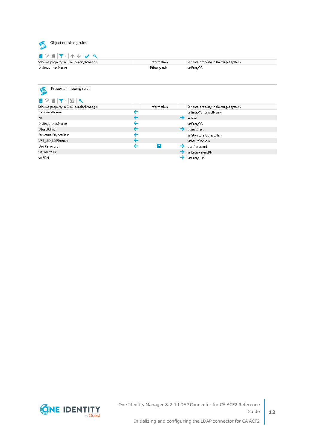

Information Primary rule Schema property in the target system vrtEntryDN

Property mapping rules

|  |  | 1 2 N Y - 5 H |                                    |  |
|--|--|---------------|------------------------------------|--|
|  |  |               | Schema property in One Identity M: |  |

| Schema property in One Identity Manager | <b>Information</b> | Schema property in the target system |
|-----------------------------------------|--------------------|--------------------------------------|
| <b>CanonicalName</b>                    |                    | vrtEntryCanonicalName                |
| cn                                      |                    | acf2lid                              |
| DistinguishedName                       |                    | vrtEntryDN                           |
| ObjectClass                             |                    | objectClass                          |
| StructuralObjectClass                   |                    | vrtStructuralObjectClass             |
| VRT UID LDPDomain                       |                    | vrtldentDomain                       |
| UserPassword                            | 3                  | userPassword                         |
| vrtParentDN                             |                    | vrtEntryParentDN                     |
| vrtRDN                                  |                    | vrtEntryRDN                          |

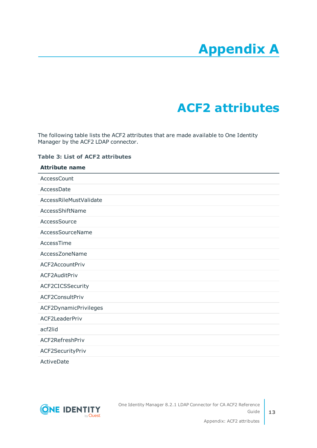# **Appendix A**

# **Appendix:ACF2 attributes**

<span id="page-12-0"></span>The following table lists the ACF2 attributes that are made available to One Identity Manager by the ACF2 LDAP connector.

#### **Table 3: List of ACF2 attributes**

| <b>Attribute name</b>  |  |
|------------------------|--|
| AccessCount            |  |
| AccessDate             |  |
| AccessRileMustValidate |  |
| AccessShiftName        |  |
| AccessSource           |  |
| AccessSourceName       |  |
| AccessTime             |  |
| AccessZoneName         |  |
| ACF2AccountPriv        |  |
| ACF2AuditPriv          |  |
| ACF2CICSSecurity       |  |
| ACF2ConsultPriv        |  |
| ACF2DynamicPrivileges  |  |
| ACF2LeaderPriv         |  |
| acf2lid                |  |
| ACF2RefreshPriv        |  |
| ACF2SecurityPriv       |  |
| ActiveDate             |  |



One Identity Manager 8.2.1 LDAP Connector for CA ACF2 Reference Guide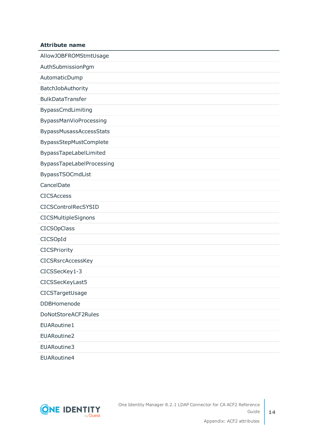AllowJOBFROMStmtUsage AuthSubmissionPgm AutomaticDump BatchJobAuthority BulkDataTransfer BypassCmdLimiting BypassManVioProcessing BypassMusassAccessStats BypassStepMustComplete BypassTapeLabelLimited BypassTapeLabelProcessing BypassTSOCmdList CancelDate CICSAccess CICSControlRecSYSID **CICSMultipleSignons** CICSOpClass CICSOpId **CICSPriority** CICSRsrcAccessKey CICSSecKey1-3 CICSSecKeyLast5 CICSTargetUsage DDBHomenode DoNotStoreACF2Rules EUARoutine1 EUARoutine2 EUARoutine3 EUARoutine4

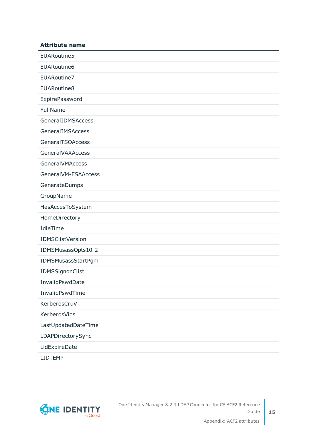| <b>Attribute name</b>   |
|-------------------------|
| EUARoutine5             |
| EUARoutine6             |
| EUARoutine7             |
| EUARoutine8             |
| ExpirePassword          |
| FullName                |
| GeneralIDMSAccess       |
| GeneralIMSAccess        |
| <b>GeneralTSOAccess</b> |
| <b>GeneralVAXAccess</b> |
| <b>GeneralVMAccess</b>  |
| GeneralVM-ESAAccess     |
| GenerateDumps           |
| GroupName               |
| HasAccesToSystem        |
| HomeDirectory           |
| IdleTime                |
| IDMSClistVersion        |
| IDMSMusassOpts10-2      |
| IDMSMusassStartPgm      |
| IDMSSignonClist         |
| InvalidPswdDate         |
| InvalidPswdTime         |
| KerberosCruV            |
| KerberosVios            |
| LastUpdatedDateTime     |
| LDAPDirectorySync       |
| LidExpireDate           |
|                         |

LIDTEMP

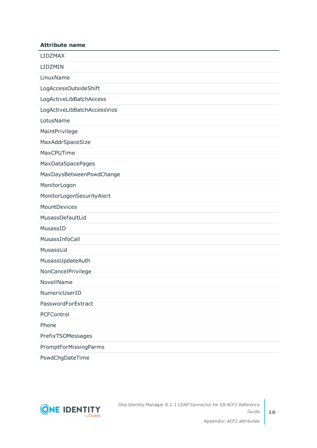| <b>Attribute name</b>       |
|-----------------------------|
| <b>LIDZMAX</b>              |
| LIDZMIN                     |
| LinuxName                   |
| LogAccessOutsideShift       |
| LogActiveLibBatchAccess     |
| LogActiveLibBatchAccessVios |
| LotusName                   |
| MaintPrivilege              |
| MaxAddrSpaceSize            |
| MaxCPUTime                  |
| <b>MaxDataSpacePages</b>    |
| MaxDaysBetweenPswdChange    |
| MonitorLogon                |
| MonitorLogonSecurityAlert   |
| MountDevices                |
| MusassDefaultLid            |
| MusassID                    |
| MusassInfoCall              |
| MusassLid                   |
| MusassUpdateAuth            |
| NonCancelPrivilege          |
| NovellName                  |
| NumericUserID               |
| PasswordForExtract          |
| PCFControl                  |
| Phone                       |
| PrefixTSOMessages           |
| PromptForMissingParms       |
|                             |

PswdChgDateTime

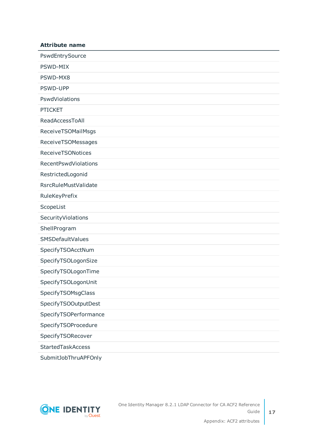| <b>Attribute name</b>       |
|-----------------------------|
| PswdEntrySource             |
| PSWD-MIX                    |
| PSWD-MX8                    |
| PSWD-UPP                    |
| PswdViolations              |
| <b>PTICKET</b>              |
| ReadAccessToAll             |
| ReceiveTSOMailMsgs          |
| ReceiveTSOMessages          |
| <b>ReceiveTSONotices</b>    |
| RecentPswdViolations        |
| RestrictedLogonid           |
| <b>RsrcRuleMustValidate</b> |
| RuleKeyPrefix               |
| ScopeList                   |
| SecurityViolations          |
| ShellProgram                |
| SMSDefaultValues            |
| SpecifyTSOAcctNum           |
| SpecifyTSOLogonSize         |
| SpecifyTSOLogonTime         |
| SpecifyTSOLogonUnit         |
| SpecifyTSOMsgClass          |
| SpecifyTSOOutputDest        |
| SpecifyTSOPerformance       |
| SpecifyTSOProcedure         |
| SpecifyTSORecover           |
| <b>StartedTaskAccess</b>    |
|                             |



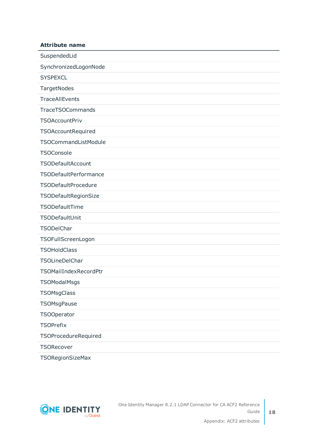| SuspendedLid            |
|-------------------------|
| SynchronizedLogonNode   |
| <b>SYSPEXCL</b>         |
| TargetNodes             |
| <b>TraceAllEvents</b>   |
| <b>TraceTSOCommands</b> |
| <b>TSOAccountPriv</b>   |
| TSOAccountRequired      |
| TSOCommandListModule    |
| <b>TSOConsole</b>       |
| TSODefaultAccount       |
| TSODefaultPerformance   |
| TSODefaultProcedure     |
| TSODefaultRegionSize    |
| TSODefaultTime          |
| TSODefaultUnit          |
| TSODelChar              |
| TSOFullScreenLogon      |
| <b>TSOHoldClass</b>     |
| TSOLineDelChar          |
| TSOMailIndexRecordPtr   |
| <b>TSOModalMsgs</b>     |
| <b>TSOMsgClass</b>      |
| TSOMsgPause             |
| <b>TSOOperator</b>      |
| <b>TSOPrefix</b>        |
| TSOProcedureRequired    |
| TSORecover              |
| <b>TSORegionSizeMax</b> |

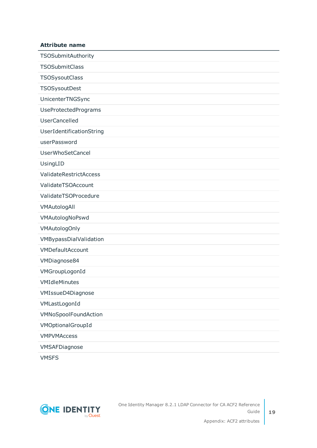| TSOSubmitAuthority          |
|-----------------------------|
| <b>TSOSubmitClass</b>       |
| TSOSysoutClass              |
| TSOSysoutDest               |
| UnicenterTNGSync            |
| <b>UseProtectedPrograms</b> |
| <b>UserCancelled</b>        |
| UserIdentificationString    |
| userPassword                |
| <b>UserWhoSetCancel</b>     |
| UsingLID                    |
| ValidateRestrictAccess      |
| ValidateTSOAccount          |
| ValidateTSOProcedure        |
| VMAutologAll                |
| VMAutologNoPswd             |
| <b>VMAutologOnly</b>        |
| VMBypassDialValidation      |
| VMDefaultAccount            |
| VMDiagnose84                |
| VMGroupLogonId              |
| VMIdleMinutes               |
| VMIssueD4Diagnose           |
| VMLastLogonId               |
| VMNoSpoolFoundAction        |
| VMOptionalGroupId           |
| <b>VMPVMAccess</b>          |
| VMSAFDiagnose               |
|                             |

VMSFS

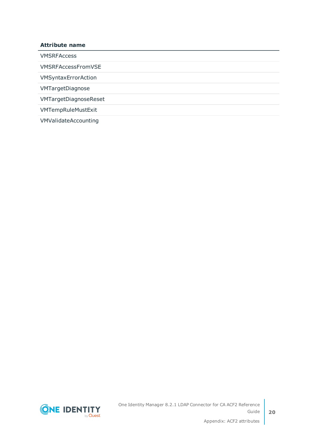VMSRFAccess

VMSRFAccessFromVSE

VMSyntaxErrorAction

VMTargetDiagnose

VMTargetDiagnoseReset

VMTempRuleMustExit

VMValidateAccounting